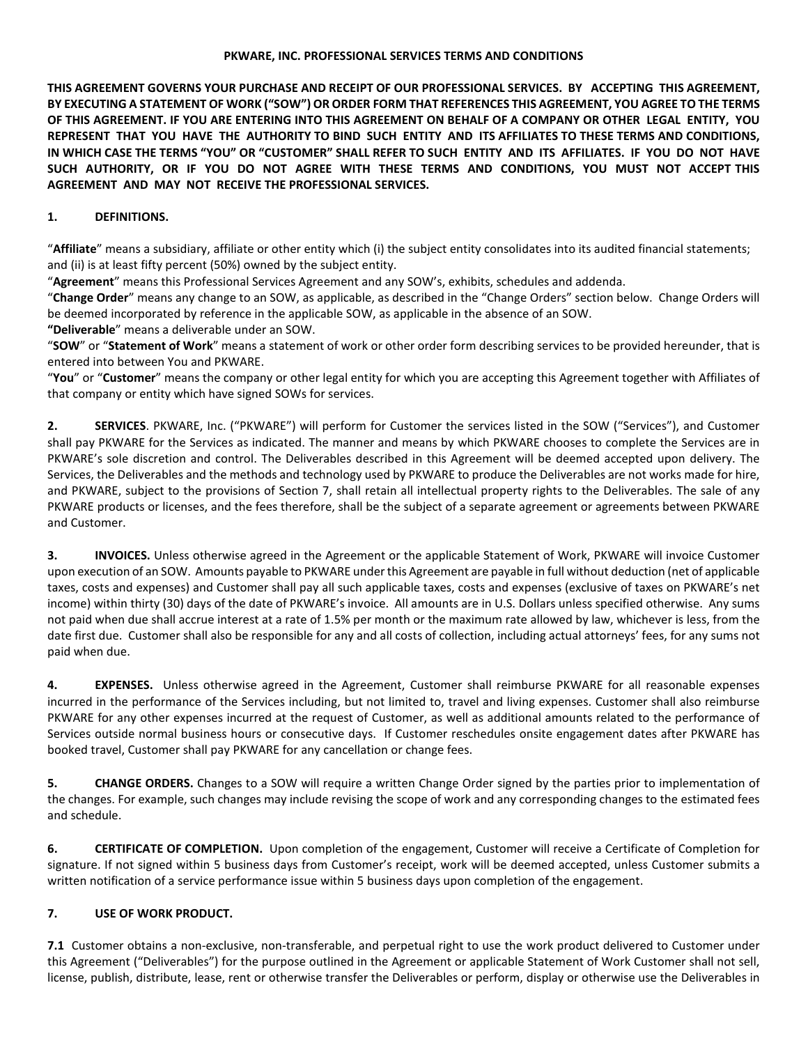## **PKWARE, INC. PROFESSIONAL SERVICES TERMS AND CONDITIONS**

**THIS AGREEMENT GOVERNS YOUR PURCHASE AND RECEIPT OF OUR PROFESSIONAL SERVICES. BY ACCEPTING THIS AGREEMENT, BY EXECUTING A STATEMENT OF WORK ("SOW") OR ORDER FORM THAT REFERENCES THIS AGREEMENT, YOU AGREE TO THE TERMS OF THIS AGREEMENT. IF YOU ARE ENTERING INTO THIS AGREEMENT ON BEHALF OF A COMPANY OR OTHER LEGAL ENTITY, YOU REPRESENT THAT YOU HAVE THE AUTHORITY TO BIND SUCH ENTITY AND ITS AFFILIATES TO THESE TERMS AND CONDITIONS, IN WHICH CASE THE TERMS "YOU" OR "CUSTOMER" SHALL REFER TO SUCH ENTITY AND ITS AFFILIATES. IF YOU DO NOT HAVE SUCH AUTHORITY, OR IF YOU DO NOT AGREE WITH THESE TERMS AND CONDITIONS, YOU MUST NOT ACCEPT THIS AGREEMENT AND MAY NOT RECEIVE THE PROFESSIONAL SERVICES.**

## **1. DEFINITIONS.**

"**Affiliate**" means a subsidiary, affiliate or other entity which (i) the subject entity consolidates into its audited financial statements; and (ii) is at least fifty percent (50%) owned by the subject entity.

"**Agreement**" means this Professional Services Agreement and any SOW's, exhibits, schedules and addenda.

"**Change Order**" means any change to an SOW, as applicable, as described in the "Change Orders" section below. Change Orders will be deemed incorporated by reference in the applicable SOW, as applicable in the absence of an SOW.

**"Deliverable**" means a deliverable under an SOW.

"**SOW**" or "**Statement of Work**" means a statement of work or other order form describing services to be provided hereunder, that is entered into between You and PKWARE.

"**You**" or "**Customer**" means the company or other legal entity for which you are accepting this Agreement together with Affiliates of that company or entity which have signed SOWs for services.

**2. SERVICES**. PKWARE, Inc. ("PKWARE") will perform for Customer the services listed in the SOW ("Services"), and Customer shall pay PKWARE for the Services as indicated. The manner and means by which PKWARE chooses to complete the Services are in PKWARE's sole discretion and control. The Deliverables described in this Agreement will be deemed accepted upon delivery. The Services, the Deliverables and the methods and technology used by PKWARE to produce the Deliverables are not works made for hire, and PKWARE, subject to the provisions of Section 7, shall retain all intellectual property rights to the Deliverables. The sale of any PKWARE products or licenses, and the fees therefore, shall be the subject of a separate agreement or agreements between PKWARE and Customer.

**3. INVOICES.** Unless otherwise agreed in the Agreement or the applicable Statement of Work, PKWARE will invoice Customer upon execution of an SOW. Amounts payable to PKWARE under this Agreement are payable in full without deduction (net of applicable taxes, costs and expenses) and Customer shall pay all such applicable taxes, costs and expenses (exclusive of taxes on PKWARE's net income) within thirty (30) days of the date of PKWARE's invoice. All amounts are in U.S. Dollars unless specified otherwise. Any sums not paid when due shall accrue interest at a rate of 1.5% per month or the maximum rate allowed by law, whichever is less, from the date first due. Customer shall also be responsible for any and all costs of collection, including actual attorneys' fees, for any sums not paid when due.

**4. EXPENSES.** Unless otherwise agreed in the Agreement, Customer shall reimburse PKWARE for all reasonable expenses incurred in the performance of the Services including, but not limited to, travel and living expenses. Customer shall also reimburse PKWARE for any other expenses incurred at the request of Customer, as well as additional amounts related to the performance of Services outside normal business hours or consecutive days. If Customer reschedules onsite engagement dates after PKWARE has booked travel, Customer shall pay PKWARE for any cancellation or change fees.

**5. CHANGE ORDERS.** Changes to a SOW will require a written Change Order signed by the parties prior to implementation of the changes. For example, such changes may include revising the scope of work and any corresponding changes to the estimated fees and schedule.

**6. CERTIFICATE OF COMPLETION.** Upon completion of the engagement, Customer will receive a Certificate of Completion for signature. If not signed within 5 business days from Customer's receipt, work will be deemed accepted, unless Customer submits a written notification of a service performance issue within 5 business days upon completion of the engagement.

## **7. USE OF WORK PRODUCT.**

**7.1** Customer obtains a non-exclusive, non-transferable, and perpetual right to use the work product delivered to Customer under this Agreement ("Deliverables") for the purpose outlined in the Agreement or applicable Statement of Work Customer shall not sell, license, publish, distribute, lease, rent or otherwise transfer the Deliverables or perform, display or otherwise use the Deliverables in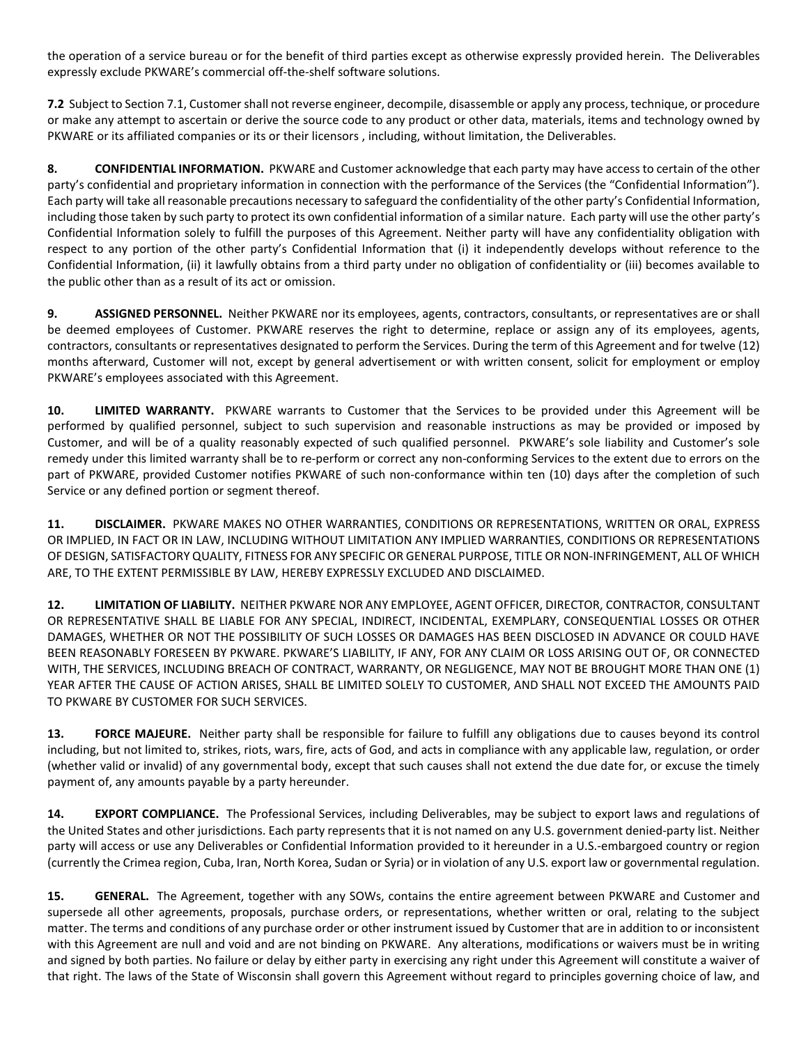the operation of a service bureau or for the benefit of third parties except as otherwise expressly provided herein. The Deliverables expressly exclude PKWARE's commercial off-the-shelf software solutions.

**7.2** Subject to Section 7.1, Customer shall not reverse engineer, decompile, disassemble or apply any process, technique, or procedure or make any attempt to ascertain or derive the source code to any product or other data, materials, items and technology owned by PKWARE or its affiliated companies or its or their licensors , including, without limitation, the Deliverables.

**8. CONFIDENTIAL INFORMATION.** PKWARE and Customer acknowledge that each party may have access to certain of the other party's confidential and proprietary information in connection with the performance of the Services (the "Confidential Information"). Each party will take all reasonable precautions necessary to safeguard the confidentiality of the other party's Confidential Information, including those taken by such party to protect its own confidential information of a similar nature. Each party will use the other party's Confidential Information solely to fulfill the purposes of this Agreement. Neither party will have any confidentiality obligation with respect to any portion of the other party's Confidential Information that (i) it independently develops without reference to the Confidential Information, (ii) it lawfully obtains from a third party under no obligation of confidentiality or (iii) becomes available to the public other than as a result of its act or omission.

**9. ASSIGNED PERSONNEL.** Neither PKWARE nor its employees, agents, contractors, consultants, or representatives are or shall be deemed employees of Customer. PKWARE reserves the right to determine, replace or assign any of its employees, agents, contractors, consultants or representatives designated to perform the Services. During the term of this Agreement and for twelve (12) months afterward, Customer will not, except by general advertisement or with written consent, solicit for employment or employ PKWARE's employees associated with this Agreement.

**10. LIMITED WARRANTY.** PKWARE warrants to Customer that the Services to be provided under this Agreement will be performed by qualified personnel, subject to such supervision and reasonable instructions as may be provided or imposed by Customer, and will be of a quality reasonably expected of such qualified personnel. PKWARE's sole liability and Customer's sole remedy under this limited warranty shall be to re-perform or correct any non-conforming Services to the extent due to errors on the part of PKWARE, provided Customer notifies PKWARE of such non-conformance within ten (10) days after the completion of such Service or any defined portion or segment thereof.

**11. DISCLAIMER.** PKWARE MAKES NO OTHER WARRANTIES, CONDITIONS OR REPRESENTATIONS, WRITTEN OR ORAL, EXPRESS OR IMPLIED, IN FACT OR IN LAW, INCLUDING WITHOUT LIMITATION ANY IMPLIED WARRANTIES, CONDITIONS OR REPRESENTATIONS OF DESIGN, SATISFACTORY QUALITY, FITNESS FOR ANY SPECIFIC OR GENERAL PURPOSE, TITLE OR NON-INFRINGEMENT, ALL OF WHICH ARE, TO THE EXTENT PERMISSIBLE BY LAW, HEREBY EXPRESSLY EXCLUDED AND DISCLAIMED.

**12. LIMITATION OF LIABILITY.** NEITHER PKWARE NOR ANY EMPLOYEE, AGENT OFFICER, DIRECTOR, CONTRACTOR, CONSULTANT OR REPRESENTATIVE SHALL BE LIABLE FOR ANY SPECIAL, INDIRECT, INCIDENTAL, EXEMPLARY, CONSEQUENTIAL LOSSES OR OTHER DAMAGES, WHETHER OR NOT THE POSSIBILITY OF SUCH LOSSES OR DAMAGES HAS BEEN DISCLOSED IN ADVANCE OR COULD HAVE BEEN REASONABLY FORESEEN BY PKWARE. PKWARE'S LIABILITY, IF ANY, FOR ANY CLAIM OR LOSS ARISING OUT OF, OR CONNECTED WITH, THE SERVICES, INCLUDING BREACH OF CONTRACT, WARRANTY, OR NEGLIGENCE, MAY NOT BE BROUGHT MORE THAN ONE (1) YEAR AFTER THE CAUSE OF ACTION ARISES, SHALL BE LIMITED SOLELY TO CUSTOMER, AND SHALL NOT EXCEED THE AMOUNTS PAID TO PKWARE BY CUSTOMER FOR SUCH SERVICES.

**13. FORCE MAJEURE.** Neither party shall be responsible for failure to fulfill any obligations due to causes beyond its control including, but not limited to, strikes, riots, wars, fire, acts of God, and acts in compliance with any applicable law, regulation, or order (whether valid or invalid) of any governmental body, except that such causes shall not extend the due date for, or excuse the timely payment of, any amounts payable by a party hereunder.

**14. EXPORT COMPLIANCE.** The Professional Services, including Deliverables, may be subject to export laws and regulations of the United States and other jurisdictions. Each party represents that it is not named on any U.S. government denied-party list. Neither party will access or use any Deliverables or Confidential Information provided to it hereunder in a U.S.-embargoed country or region (currently the Crimea region, Cuba, Iran, North Korea, Sudan or Syria) or in violation of any U.S. export law or governmental regulation.

**15. GENERAL.** The Agreement, together with any SOWs, contains the entire agreement between PKWARE and Customer and supersede all other agreements, proposals, purchase orders, or representations, whether written or oral, relating to the subject matter. The terms and conditions of any purchase order or other instrument issued by Customer that are in addition to or inconsistent with this Agreement are null and void and are not binding on PKWARE. Any alterations, modifications or waivers must be in writing and signed by both parties. No failure or delay by either party in exercising any right under this Agreement will constitute a waiver of that right. The laws of the State of Wisconsin shall govern this Agreement without regard to principles governing choice of law, and